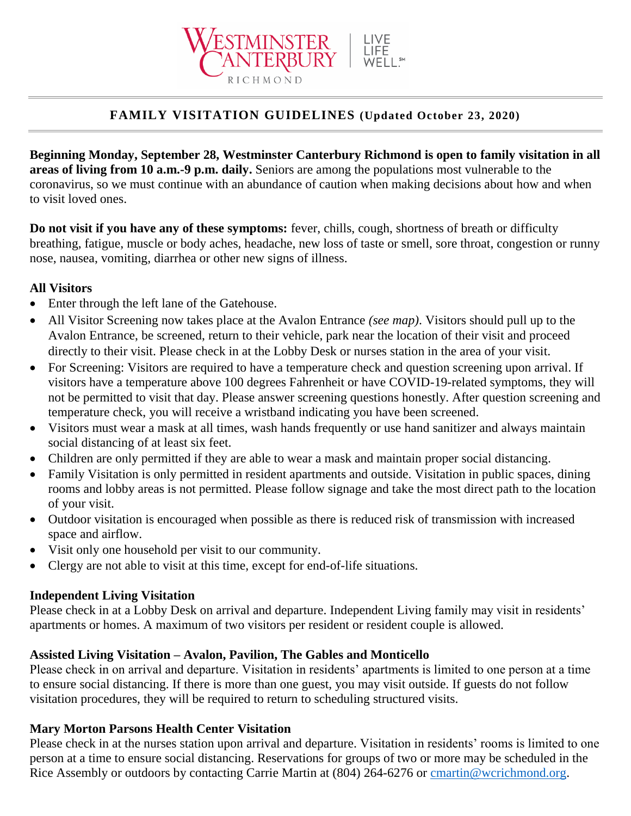

## **FAMILY VISITATION GUIDELINES (Updated October 23, 2020)**

**Beginning Monday, September 28, Westminster Canterbury Richmond is open to family visitation in all areas of living from 10 a.m.-9 p.m. daily.** Seniors are among the populations most vulnerable to the coronavirus, so we must continue with an abundance of caution when making decisions about how and when to visit loved ones.

**Do not visit if you have any of these symptoms:** fever, chills, cough, shortness of breath or difficulty breathing, fatigue, muscle or body aches, headache, new loss of taste or smell, sore throat, congestion or runny nose, nausea, vomiting, diarrhea or other new signs of illness.

#### **All Visitors**

- Enter through the left lane of the Gatehouse.
- All Visitor Screening now takes place at the Avalon Entrance *(see map)*. Visitors should pull up to the Avalon Entrance, be screened, return to their vehicle, park near the location of their visit and proceed directly to their visit. Please check in at the Lobby Desk or nurses station in the area of your visit.
- For Screening: Visitors are required to have a temperature check and question screening upon arrival. If visitors have a temperature above 100 degrees Fahrenheit or have COVID-19-related symptoms, they will not be permitted to visit that day. Please answer screening questions honestly. After question screening and temperature check, you will receive a wristband indicating you have been screened.
- Visitors must wear a mask at all times, wash hands frequently or use hand sanitizer and always maintain social distancing of at least six feet.
- Children are only permitted if they are able to wear a mask and maintain proper social distancing.
- Family Visitation is only permitted in resident apartments and outside. Visitation in public spaces, dining rooms and lobby areas is not permitted. Please follow signage and take the most direct path to the location of your visit.
- Outdoor visitation is encouraged when possible as there is reduced risk of transmission with increased space and airflow.
- Visit only one household per visit to our community.
- Clergy are not able to visit at this time, except for end-of-life situations.

### **Independent Living Visitation**

Please check in at a Lobby Desk on arrival and departure. Independent Living family may visit in residents' apartments or homes. A maximum of two visitors per resident or resident couple is allowed.

### **Assisted Living Visitation – Avalon, Pavilion, The Gables and Monticello**

Please check in on arrival and departure. Visitation in residents' apartments is limited to one person at a time to ensure social distancing. If there is more than one guest, you may visit outside. If guests do not follow visitation procedures, they will be required to return to scheduling structured visits.

### **Mary Morton Parsons Health Center Visitation**

Please check in at the nurses station upon arrival and departure. Visitation in residents' rooms is limited to one person at a time to ensure social distancing. Reservations for groups of two or more may be scheduled in the Rice Assembly or outdoors by contacting Carrie Martin at (804) 264-6276 or [cmartin@wcrichmond.org.](mailto:cmartin@wcrichmond.org)